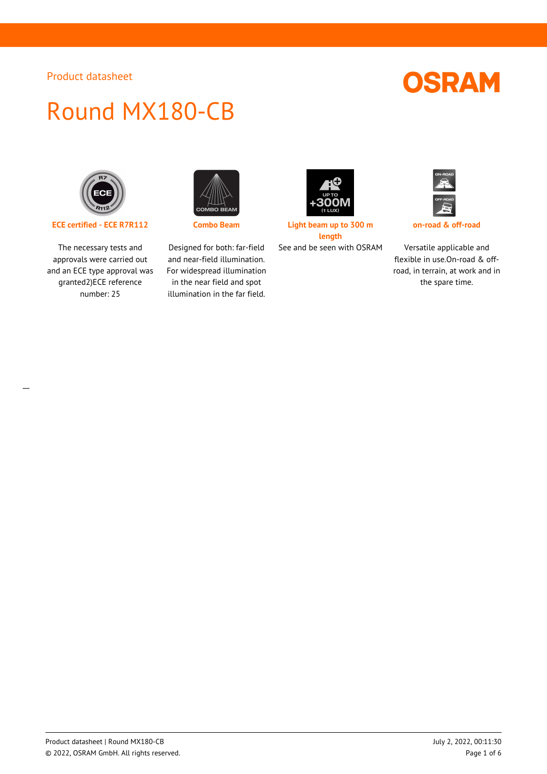# **OSRAM**

# Round MX180-CB



#### **ECE certified - ECE R7R112 Combo Beam Light beam up to 300 m**

The necessary tests and approvals were carried out and an ECE type approval was granted2)ECE reference number: 25



Designed for both: far-field and near-field illumination. For widespread illumination in the near field and spot illumination in the far field.



**length**



**on-road & off-road**

See and be seen with OSRAM Versatile applicable and flexible in use.On-road & offroad, in terrain, at work and in the spare time.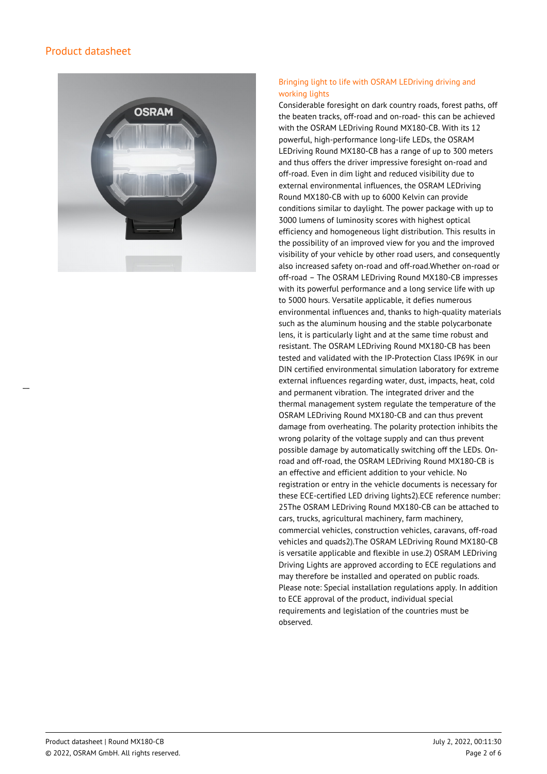$\overline{a}$ 



#### Bringing light to life with OSRAM LEDriving driving and working lights

Considerable foresight on dark country roads, forest paths, off the beaten tracks, off-road and on-road- this can be achieved with the OSRAM LEDriving Round MX180-CB. With its 12 powerful, high-performance long-life LEDs, the OSRAM LEDriving Round MX180-CB has a range of up to 300 meters and thus offers the driver impressive foresight on-road and off-road. Even in dim light and reduced visibility due to external environmental influences, the OSRAM LEDriving Round MX180-CB with up to 6000 Kelvin can provide conditions similar to daylight. The power package with up to 3000 lumens of luminosity scores with highest optical efficiency and homogeneous light distribution. This results in the possibility of an improved view for you and the improved visibility of your vehicle by other road users, and consequently also increased safety on-road and off-road.Whether on-road or off-road – The OSRAM LEDriving Round MX180-CB impresses with its powerful performance and a long service life with up to 5000 hours. Versatile applicable, it defies numerous environmental influences and, thanks to high-quality materials such as the aluminum housing and the stable polycarbonate lens, it is particularly light and at the same time robust and resistant. The OSRAM LEDriving Round MX180-CB has been tested and validated with the IP-Protection Class IP69K in our DIN certified environmental simulation laboratory for extreme external influences regarding water, dust, impacts, heat, cold and permanent vibration. The integrated driver and the thermal management system regulate the temperature of the OSRAM LEDriving Round MX180-CB and can thus prevent damage from overheating. The polarity protection inhibits the wrong polarity of the voltage supply and can thus prevent possible damage by automatically switching off the LEDs. Onroad and off-road, the OSRAM LEDriving Round MX180-CB is an effective and efficient addition to your vehicle. No registration or entry in the vehicle documents is necessary for these ECE-certified LED driving lights2).ECE reference number: 25The OSRAM LEDriving Round MX180-CB can be attached to cars, trucks, agricultural machinery, farm machinery, commercial vehicles, construction vehicles, caravans, off-road vehicles and quads2).The OSRAM LEDriving Round MX180-CB is versatile applicable and flexible in use.2) OSRAM LEDriving Driving Lights are approved according to ECE regulations and may therefore be installed and operated on public roads. Please note: Special installation regulations apply. In addition to ECE approval of the product, individual special requirements and legislation of the countries must be observed.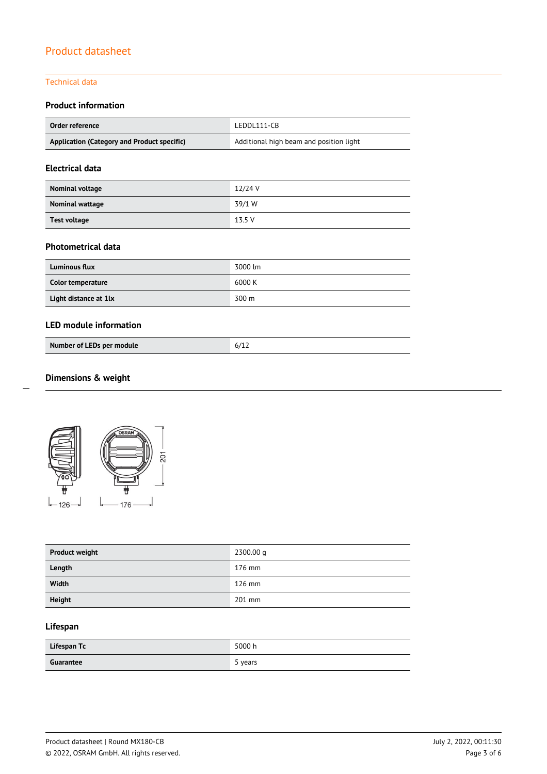### Technical data

# **Product information**

| Order reference                             | LEDDL111-CB                             |
|---------------------------------------------|-----------------------------------------|
| Application (Category and Product specific) | Additional high beam and position light |

## **Electrical data**

| Nominal voltage | $12/24$ V |
|-----------------|-----------|
| Nominal wattage | 39/1 W    |
| Test voltage    | 13.5 V    |

# **Photometrical data**

| <b>Luminous flux</b>  | 3000 lm |
|-----------------------|---------|
| Color temperature     | 6000 K  |
| Light distance at 1lx | 300 m   |

### **LED module information**

| Number of LEDs per module | 6/12 |
|---------------------------|------|
|                           |      |

# **Dimensions & weight**



| <b>Product weight</b> | 2300.00 g |
|-----------------------|-----------|
| Length                | 176 mm    |
| Width                 | $126$ mm  |
| <b>Height</b>         | 201 mm    |

# **Lifespan**

| Lifespan Tc | 5000 h  |
|-------------|---------|
| Guarantee   | 5 years |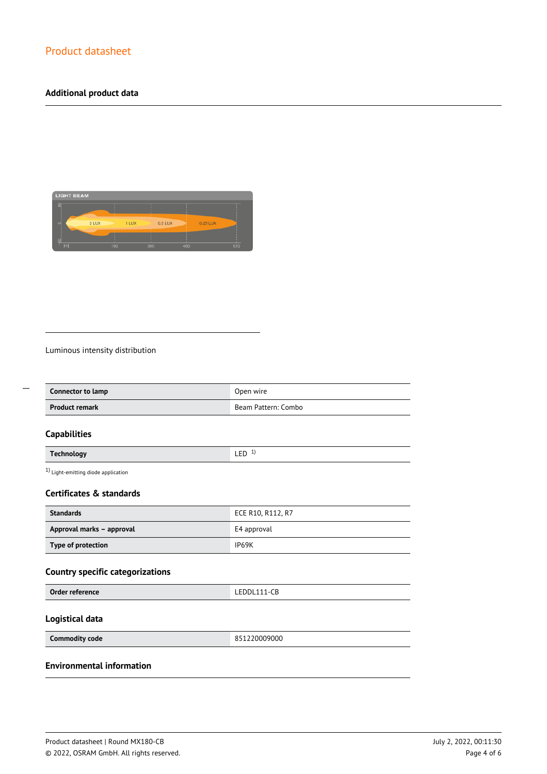# **Additional product data**

| 品 |       |       |         |          |  |
|---|-------|-------|---------|----------|--|
| e | 3 LUX | 1 LUX | 0.5 LUX | 0.25 LUX |  |
|   |       |       |         |          |  |

Luminous intensity distribution

| Connector to lamp     | Open wire           |
|-----------------------|---------------------|
| <b>Product remark</b> | Beam Pattern: Combo |

# **Capabilities**

| Technology<br>$\ldots$ | $ -$<br>--- |
|------------------------|-------------|

 $^{\displaystyle 1)}$  Light-emitting diode application

# **Certificates & standards**

| <b>Standards</b>          | ECE R10, R112, R7 |
|---------------------------|-------------------|
| Approval marks - approval | E4 approval       |
| Type of protection        | IP69K             |

# **Country specific categorizations**

# **Logistical data**

**Commodity code** 851220009000

## **Environmental information**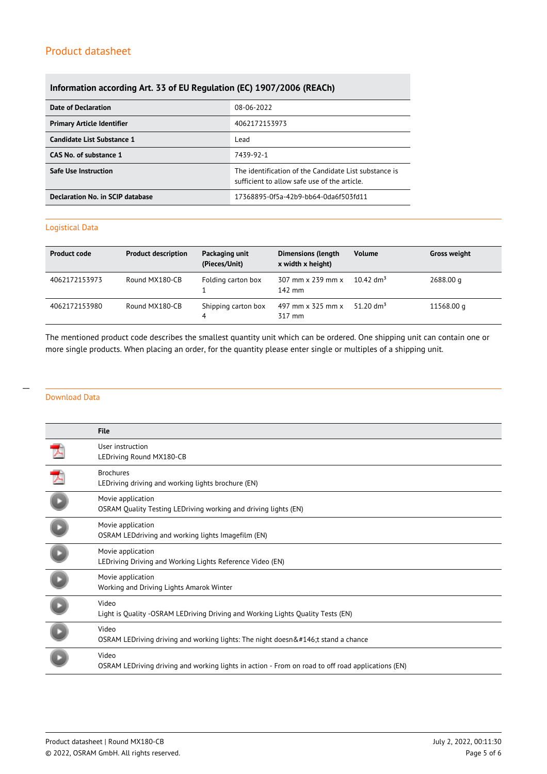## **Information according Art. 33 of EU Regulation (EC) 1907/2006 (REACh)**

| Date of Declaration               | 08-06-2022                                                                                            |
|-----------------------------------|-------------------------------------------------------------------------------------------------------|
| <b>Primary Article Identifier</b> | 4062172153973                                                                                         |
| Candidate List Substance 1        | Lead                                                                                                  |
| CAS No. of substance 1            | 7439-92-1                                                                                             |
| <b>Safe Use Instruction</b>       | The identification of the Candidate List substance is<br>sufficient to allow safe use of the article. |
| Declaration No. in SCIP database  | 17368895-0f5a-42b9-bb64-0da6f503fd11                                                                  |

# Logistical Data

| <b>Product code</b> | <b>Product description</b> | Packaging unit<br>(Pieces/Unit) | <b>Dimensions (length</b><br>x width x height)        | <b>Volume</b>         | <b>Gross weight</b> |
|---------------------|----------------------------|---------------------------------|-------------------------------------------------------|-----------------------|---------------------|
| 4062172153973       | Round MX180-CB             | Folding carton box              | 307 mm x 239 mm x $10.42$ dm <sup>3</sup><br>$142$ mm |                       | 2688.00 g           |
| 4062172153980       | Round MX180-CB             | Shipping carton box<br>4        | 497 mm x 325 mm x<br>317 mm                           | 51.20 dm <sup>3</sup> | 11568.00 g          |

The mentioned product code describes the smallest quantity unit which can be ordered. One shipping unit can contain one or more single products. When placing an order, for the quantity please enter single or multiples of a shipping unit.

#### Download Data

 $\overline{a}$ 

| <b>File</b>                                                                                                |
|------------------------------------------------------------------------------------------------------------|
| User instruction<br>LEDriving Round MX180-CB                                                               |
| <b>Brochures</b><br>LEDriving driving and working lights brochure (EN)                                     |
| Movie application<br>OSRAM Quality Testing LEDriving working and driving lights (EN)                       |
| Movie application<br>OSRAM LEDdriving and working lights Imagefilm (EN)                                    |
| Movie application<br>LEDriving Driving and Working Lights Reference Video (EN)                             |
| Movie application<br>Working and Driving Lights Amarok Winter                                              |
| Video<br>Light is Quality -OSRAM LEDriving Driving and Working Lights Quality Tests (EN)                   |
| Video<br>OSRAM LEDriving driving and working lights: The night doesn't stand a chance                      |
| Video<br>OSRAM LEDriving driving and working lights in action - From on road to off road applications (EN) |